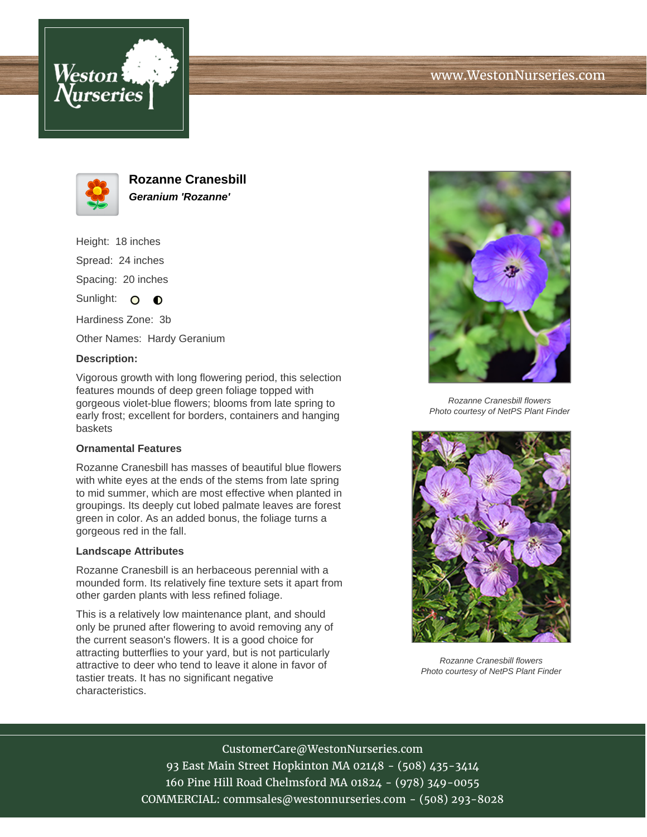



**Rozanne Cranesbill Geranium 'Rozanne'**

Height: 18 inches Spread: 24 inches Spacing: 20 inches Sunlight:  $\circ$   $\bullet$ 

Hardiness Zone: 3b

Other Names: Hardy Geranium

## **Description:**

Vigorous growth with long flowering period, this selection features mounds of deep green foliage topped with gorgeous violet-blue flowers; blooms from late spring to early frost; excellent for borders, containers and hanging baskets

## **Ornamental Features**

Rozanne Cranesbill has masses of beautiful blue flowers with white eyes at the ends of the stems from late spring to mid summer, which are most effective when planted in groupings. Its deeply cut lobed palmate leaves are forest green in color. As an added bonus, the foliage turns a gorgeous red in the fall.

## **Landscape Attributes**

Rozanne Cranesbill is an herbaceous perennial with a mounded form. Its relatively fine texture sets it apart from other garden plants with less refined foliage.

This is a relatively low maintenance plant, and should only be pruned after flowering to avoid removing any of the current season's flowers. It is a good choice for attracting butterflies to your yard, but is not particularly attractive to deer who tend to leave it alone in favor of tastier treats. It has no significant negative characteristics.



Rozanne Cranesbill flowers Photo courtesy of NetPS Plant Finder



Rozanne Cranesbill flowers Photo courtesy of NetPS Plant Finder

CustomerCare@WestonNurseries.com 93 East Main Street Hopkinton MA 02148 - (508) 435-3414 160 Pine Hill Road Chelmsford MA 01824 - (978) 349-0055 COMMERCIAL: commsales@westonnurseries.com - (508) 293-8028